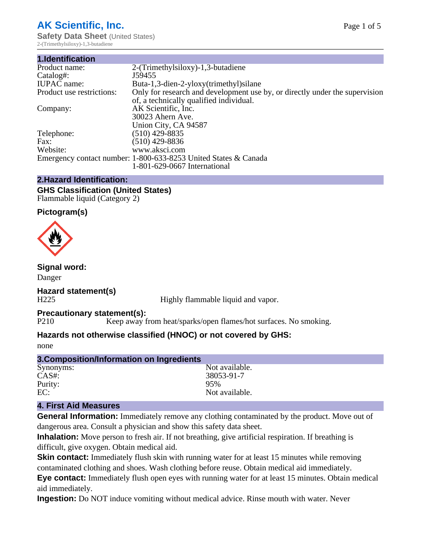## **AK Scientific, Inc.**

**Safety Data Sheet** (United States) 2-(Trimethylsiloxy)-1,3-butadiene

| 1.Identification          |                                                                             |
|---------------------------|-----------------------------------------------------------------------------|
| Product name:             | 2-(Trimethylsiloxy)-1,3-butadiene                                           |
| Catalog#:                 | J59455                                                                      |
| <b>IUPAC</b> name:        | Buta-1,3-dien-2-yloxy(trimethyl) silane                                     |
| Product use restrictions: | Only for research and development use by, or directly under the supervision |
|                           | of, a technically qualified individual.                                     |
| Company:                  | AK Scientific, Inc.                                                         |
|                           | 30023 Ahern Ave.                                                            |
|                           | Union City, CA 94587                                                        |
| Telephone:                | $(510)$ 429-8835                                                            |
| Fax:                      | $(510)$ 429-8836                                                            |
| Website:                  | www.aksci.com                                                               |
|                           | Emergency contact number: 1-800-633-8253 United States & Canada             |
|                           | 1-801-629-0667 International                                                |
|                           |                                                                             |

## **2.Hazard Identification:**

**GHS Classification (United States)** Flammable liquid (Category 2)

## **Pictogram(s)**



**Signal word:**

Danger

# **Hazard statement(s)**

Highly flammable liquid and vapor.

# **Precautionary statement(s):**<br>P210 Keep away f

Keep away from heat/sparks/open flames/hot surfaces. No smoking.

## **Hazards not otherwise classified (HNOC) or not covered by GHS:**

none

| 3. Composition/Information on Ingredients |                |  |
|-------------------------------------------|----------------|--|
| Synonyms:                                 | Not available. |  |
| $CAS#$ :                                  | 38053-91-7     |  |
| Purity:                                   | 95%            |  |
| EC:                                       | Not available. |  |
|                                           |                |  |

## **4. First Aid Measures**

**General Information:** Immediately remove any clothing contaminated by the product. Move out of dangerous area. Consult a physician and show this safety data sheet.

**Inhalation:** Move person to fresh air. If not breathing, give artificial respiration. If breathing is difficult, give oxygen. Obtain medical aid.

**Skin contact:** Immediately flush skin with running water for at least 15 minutes while removing contaminated clothing and shoes. Wash clothing before reuse. Obtain medical aid immediately.

**Eye contact:** Immediately flush open eyes with running water for at least 15 minutes. Obtain medical aid immediately.

**Ingestion:** Do NOT induce vomiting without medical advice. Rinse mouth with water. Never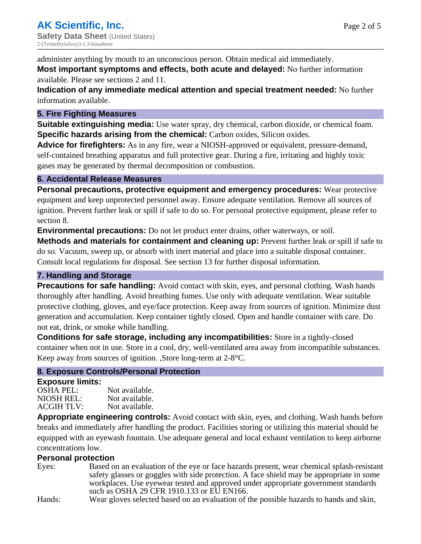administer anything by mouth to an unconscious person. Obtain medical aid immediately. **Most important symptoms and effects, both acute and delayed:** No further information available. Please see sections 2 and 11.

**Indication of any immediate medical attention and special treatment needed:** No further information available.

### **5. Fire Fighting Measures**

**Suitable extinguishing media:** Use water spray, dry chemical, carbon dioxide, or chemical foam. **Specific hazards arising from the chemical:** Carbon oxides, Silicon oxides.

**Advice for firefighters:** As in any fire, wear a NIOSH-approved or equivalent, pressure-demand, self-contained breathing apparatus and full protective gear. During a fire, irritating and highly toxic gases may be generated by thermal decomposition or combustion.

### **6. Accidental Release Measures**

**Personal precautions, protective equipment and emergency procedures:** Wear protective equipment and keep unprotected personnel away. Ensure adequate ventilation. Remove all sources of ignition. Prevent further leak or spill if safe to do so. For personal protective equipment, please refer to section 8.

**Environmental precautions:** Do not let product enter drains, other waterways, or soil.

**Methods and materials for containment and cleaning up:** Prevent further leak or spill if safe to do so. Vacuum, sweep up, or absorb with inert material and place into a suitable disposal container. Consult local regulations for disposal. See section 13 for further disposal information.

## **7. Handling and Storage**

**Precautions for safe handling:** Avoid contact with skin, eyes, and personal clothing. Wash hands thoroughly after handling. Avoid breathing fumes. Use only with adequate ventilation. Wear suitable protective clothing, gloves, and eye/face protection. Keep away from sources of ignition. Minimize dust generation and accumulation. Keep container tightly closed. Open and handle container with care. Do not eat, drink, or smoke while handling.

**Conditions for safe storage, including any incompatibilities:** Store in a tightly-closed container when not in use. Store in a cool, dry, well-ventilated area away from incompatible substances. Keep away from sources of ignition. ,Store long-term at 2-8°C.

## **8. Exposure Controls/Personal Protection**

### **Exposure limits:**

| OSHA PEL:  | Not available. |
|------------|----------------|
| NIOSH REL: | Not available. |
| ACGIH TLV: | Not available. |

**Appropriate engineering controls:** Avoid contact with skin, eyes, and clothing. Wash hands before breaks and immediately after handling the product. Facilities storing or utilizing this material should be equipped with an eyewash fountain. Use adequate general and local exhaust ventilation to keep airborne concentrations low.

## **Personal protection**

Eyes: Based on an evaluation of the eye or face hazards present, wear chemical splash-resistant safety glasses or goggles with side protection. A face shield may be appropriate in some workplaces. Use eyewear tested and approved under appropriate government standards such as OSHA 29 CFR 1910.133 or EU EN166.

Hands: Wear gloves selected based on an evaluation of the possible hazards to hands and skin,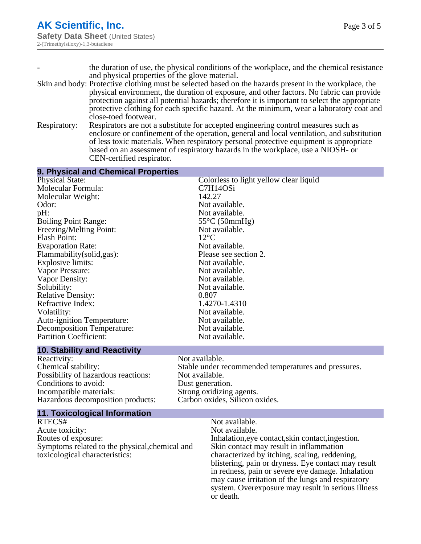- the duration of use, the physical conditions of the workplace, and the chemical resistance and physical properties of the glove material.
- Skin and body: Protective clothing must be selected based on the hazards present in the workplace, the physical environment, the duration of exposure, and other factors. No fabric can provide protection against all potential hazards; therefore it is important to select the appropriate protective clothing for each specific hazard. At the minimum, wear a laboratory coat and close-toed footwear.
- Respiratory: Respirators are not a substitute for accepted engineering control measures such as enclosure or confinement of the operation, general and local ventilation, and substitution of less toxic materials. When respiratory personal protective equipment is appropriate based on an assessment of respiratory hazards in the workplace, use a NIOSH- or CEN-certified respirator.

| 9. Physical and Chemical Properties                                                                                                                                                                                                                                                                                                                                                                                                                                                     |                                                                                                                                                                                                                                                                                                                                                                                                                       |
|-----------------------------------------------------------------------------------------------------------------------------------------------------------------------------------------------------------------------------------------------------------------------------------------------------------------------------------------------------------------------------------------------------------------------------------------------------------------------------------------|-----------------------------------------------------------------------------------------------------------------------------------------------------------------------------------------------------------------------------------------------------------------------------------------------------------------------------------------------------------------------------------------------------------------------|
| <b>Physical State:</b><br>Molecular Formula:<br>Molecular Weight:<br>Odor:<br>pH:<br><b>Boiling Point Range:</b><br>Freezing/Melting Point:<br><b>Flash Point:</b><br><b>Evaporation Rate:</b><br>Flammability (solid, gas):<br><b>Explosive limits:</b><br>Vapor Pressure:<br>Vapor Density:<br>Solubility:<br><b>Relative Density:</b><br>Refractive Index:<br>Volatility:<br><b>Auto-ignition Temperature:</b><br><b>Decomposition Temperature:</b><br><b>Partition Coefficient:</b> | Colorless to light yellow clear liquid<br>C7H14OSi<br>142.27<br>Not available.<br>Not available.<br>$55^{\circ}$ C (50mmHg)<br>Not available.<br>$12^{\circ}$ C<br>Not available.<br>Please see section 2.<br>Not available.<br>Not available.<br>Not available.<br>Not available.<br>0.807<br>1.4270-1.4310<br>Not available.<br>Not available.<br>Not available.<br>Not available.                                  |
| <b>10. Stability and Reactivity</b>                                                                                                                                                                                                                                                                                                                                                                                                                                                     |                                                                                                                                                                                                                                                                                                                                                                                                                       |
| Reactivity:<br>Chemical stability:<br>Possibility of hazardous reactions:<br>Conditions to avoid:<br>Incompatible materials:<br>Hazardous decomposition products:                                                                                                                                                                                                                                                                                                                       | Not available.<br>Stable under recommended temperatures and pressures.<br>Not available.<br>Dust generation.<br>Strong oxidizing agents.<br>Carbon oxides, Silicon oxides.                                                                                                                                                                                                                                            |
| <b>11. Toxicological Information</b>                                                                                                                                                                                                                                                                                                                                                                                                                                                    |                                                                                                                                                                                                                                                                                                                                                                                                                       |
| RTECS#<br>Acute toxicity:<br>Routes of exposure:<br>Symptoms related to the physical, chemical and<br>toxicological characteristics:                                                                                                                                                                                                                                                                                                                                                    | Not available.<br>Not available.<br>Inhalation, eye contact, skin contact, ingestion.<br>Skin contact may result in inflammation<br>characterized by itching, scaling, reddening,<br>blistering, pain or dryness. Eye contact may result<br>in redness, pain or severe eye damage. Inhalation<br>may cause irritation of the lungs and respiratory<br>system. Overexposure may result in serious illness<br>or death. |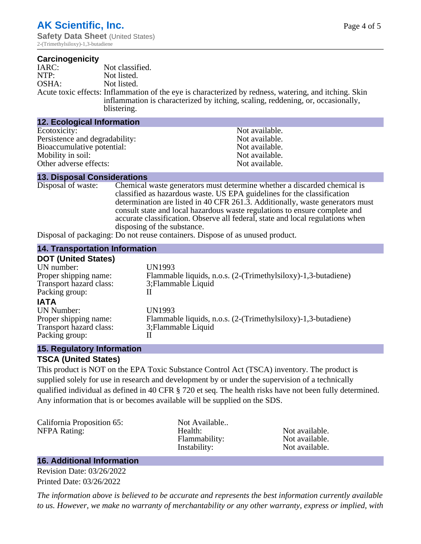2-(Trimethylsiloxy)-1,3-butadiene

#### **Carcinogenicity**

| IARC: | Not classified.                                                                                                                                                                                         |
|-------|---------------------------------------------------------------------------------------------------------------------------------------------------------------------------------------------------------|
| NTP:  | Not listed.                                                                                                                                                                                             |
| OSHA: | Not listed.                                                                                                                                                                                             |
|       | Acute toxic effects: Inflammation of the eye is characterized by redness, watering, and itching. Skin<br>inflammation is characterized by itching, scaling, reddening, or, occasionally,<br>blistering. |

| <b>12. Ecological Information</b> |                |
|-----------------------------------|----------------|
| Ecotoxicity:                      | Not available. |
| Persistence and degradability:    | Not available. |
| Bioaccumulative potential:        | Not available. |
| Mobility in soil:                 | Not available. |
| Other adverse effects:            | Not available. |

#### **13. Disposal Considerations**

Disposal of waste: Chemical waste generators must determine whether a discarded chemical is classified as hazardous waste. US EPA guidelines for the classification determination are listed in 40 CFR 261.3. Additionally, waste generators must consult state and local hazardous waste regulations to ensure complete and accurate classification. Observe all federal, state and local regulations when disposing of the substance.

Disposal of packaging: Do not reuse containers. Dispose of as unused product.

#### **14. Transportation Information**

| <b>DOT (United States)</b> |                                                               |
|----------------------------|---------------------------------------------------------------|
| UN number:                 | UN1993                                                        |
| Proper shipping name:      | Flammable liquids, n.o.s. (2-(Trimethylsiloxy)-1,3-butadiene) |
| Transport hazard class:    | 3; Flammable Liquid                                           |
| Packing group:             |                                                               |
| <b>IATA</b>                |                                                               |
| <b>UN Number:</b>          | <b>UN1993</b>                                                 |
| Proper shipping name:      | Flammable liquids, n.o.s. (2-(Trimethylsiloxy)-1,3-butadiene) |
| Transport hazard class:    | 3; Flammable Liquid                                           |
| Packing group:             |                                                               |
|                            |                                                               |

#### **15. Regulatory Information**

#### **TSCA (United States)**

This product is NOT on the EPA Toxic Substance Control Act (TSCA) inventory. The product is supplied solely for use in research and development by or under the supervision of a technically qualified individual as defined in 40 CFR § 720 et seq. The health risks have not been fully determined. Any information that is or becomes available will be supplied on the SDS.

| California Proposition 65:<br><b>NFPA Rating:</b> | Not Available<br>Health:<br>Flammability:<br>Instability: | Not available.<br>Not available.<br>Not available. |
|---------------------------------------------------|-----------------------------------------------------------|----------------------------------------------------|
|                                                   |                                                           |                                                    |

#### **16. Additional Information**

Revision Date: 03/26/2022 Printed Date: 03/26/2022

*The information above is believed to be accurate and represents the best information currently available to us. However, we make no warranty of merchantability or any other warranty, express or implied, with*